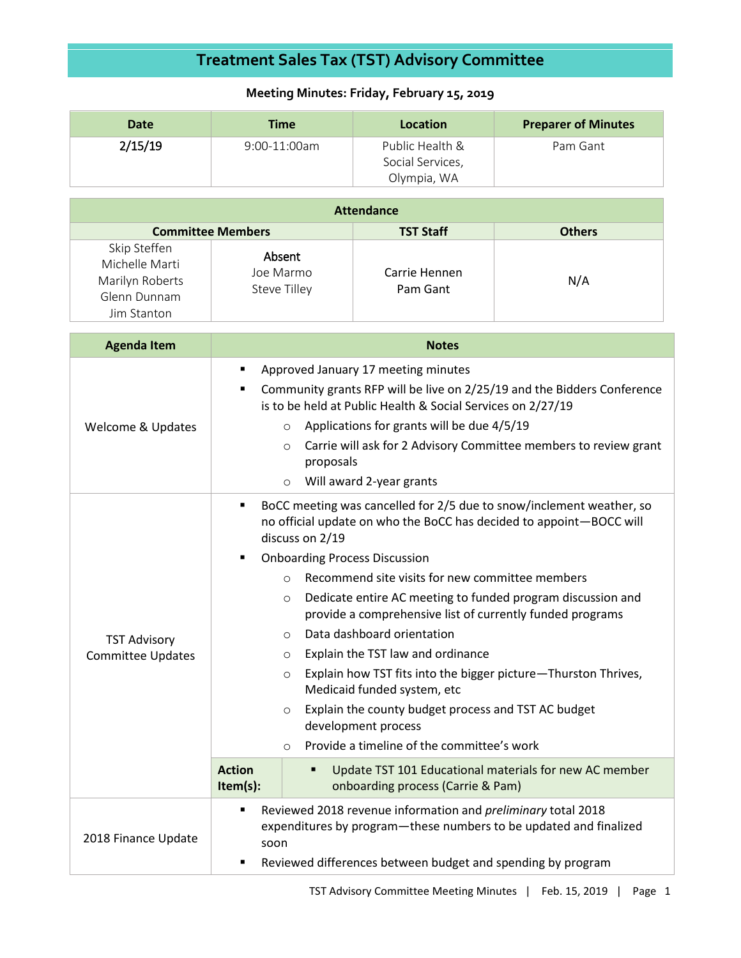## **Treatment Sales Tax (TST) Advisory Committee**

## **Meeting Minutes: Friday, February 15, 2019**

| <b>Date</b> | <b>Time</b>    | Location                                           | <b>Preparer of Minutes</b> |
|-------------|----------------|----------------------------------------------------|----------------------------|
| 2/15/19     | $9:00-11:00am$ | Public Health &<br>Social Services,<br>Olympia, WA | Pam Gant                   |

| <b>Attendance</b>                                                                |                                     |                           |               |  |  |
|----------------------------------------------------------------------------------|-------------------------------------|---------------------------|---------------|--|--|
| <b>Committee Members</b>                                                         |                                     | <b>TST Staff</b>          | <b>Others</b> |  |  |
| Skip Steffen<br>Michelle Marti<br>Marilyn Roberts<br>Glenn Dunnam<br>Jim Stanton | Absent<br>Joe Marmo<br>Steve Tilley | Carrie Hennen<br>Pam Gant | N/A           |  |  |

| <b>Agenda Item</b>                              | <b>Notes</b>                                                                                                                                                                                                                                                                                                                                                                                                                                                                                                                                                                                                                                                                                                                                                                    |  |  |
|-------------------------------------------------|---------------------------------------------------------------------------------------------------------------------------------------------------------------------------------------------------------------------------------------------------------------------------------------------------------------------------------------------------------------------------------------------------------------------------------------------------------------------------------------------------------------------------------------------------------------------------------------------------------------------------------------------------------------------------------------------------------------------------------------------------------------------------------|--|--|
| Welcome & Updates                               | Approved January 17 meeting minutes<br>٠<br>Community grants RFP will be live on 2/25/19 and the Bidders Conference<br>٠<br>is to be held at Public Health & Social Services on 2/27/19<br>Applications for grants will be due 4/5/19<br>$\circ$<br>Carrie will ask for 2 Advisory Committee members to review grant<br>$\circ$<br>proposals<br>Will award 2-year grants<br>$\circ$                                                                                                                                                                                                                                                                                                                                                                                             |  |  |
| <b>TST Advisory</b><br><b>Committee Updates</b> | BoCC meeting was cancelled for 2/5 due to snow/inclement weather, so<br>٠<br>no official update on who the BoCC has decided to appoint-BOCC will<br>discuss on 2/19<br><b>Onboarding Process Discussion</b><br>٠<br>Recommend site visits for new committee members<br>$\bigcirc$<br>Dedicate entire AC meeting to funded program discussion and<br>$\circ$<br>provide a comprehensive list of currently funded programs<br>Data dashboard orientation<br>$\circ$<br>Explain the TST law and ordinance<br>$\circ$<br>Explain how TST fits into the bigger picture-Thurston Thrives,<br>$\circ$<br>Medicaid funded system, etc<br>Explain the county budget process and TST AC budget<br>$\circ$<br>development process<br>Provide a timeline of the committee's work<br>$\circ$ |  |  |
|                                                 | <b>Action</b><br>Update TST 101 Educational materials for new AC member<br>٠<br>Item(s):<br>onboarding process (Carrie & Pam)                                                                                                                                                                                                                                                                                                                                                                                                                                                                                                                                                                                                                                                   |  |  |
| 2018 Finance Update                             | Reviewed 2018 revenue information and preliminary total 2018<br>п<br>expenditures by program-these numbers to be updated and finalized<br>soon<br>Reviewed differences between budget and spending by program                                                                                                                                                                                                                                                                                                                                                                                                                                                                                                                                                                   |  |  |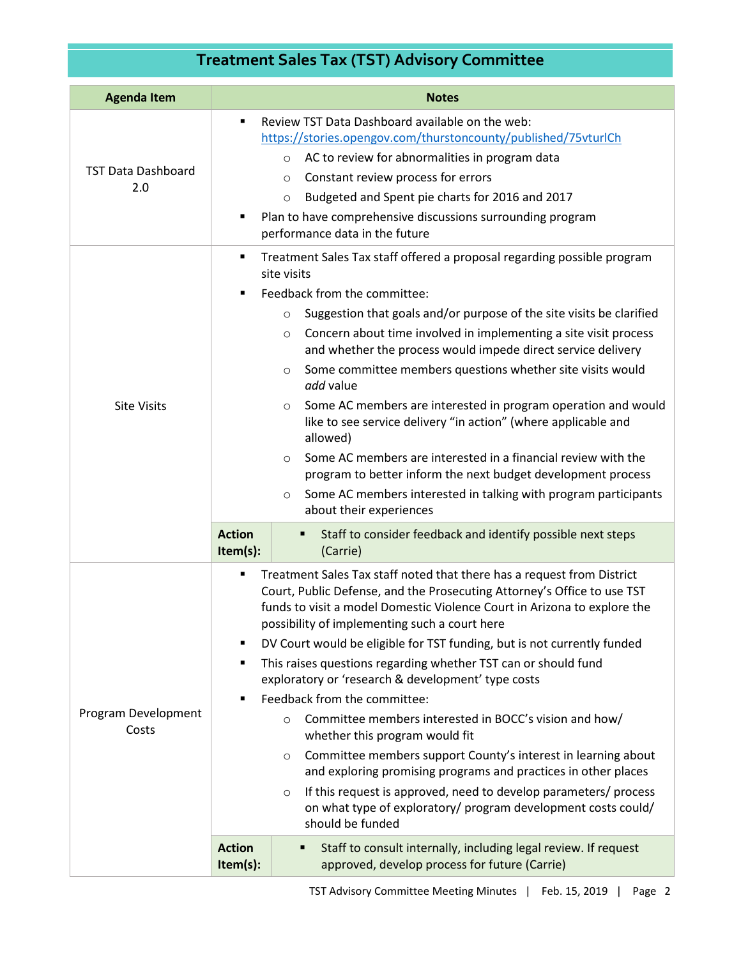## **Treatment Sales Tax (TST) Advisory Committee**

| <b>Agenda Item</b>               | <b>Notes</b>                                                                                                                                                                                                                                                                                                                                                                                                                                                                                                                                                                                                                                                                                                                                                                                                                                                                                                                                                                                                                                  |  |
|----------------------------------|-----------------------------------------------------------------------------------------------------------------------------------------------------------------------------------------------------------------------------------------------------------------------------------------------------------------------------------------------------------------------------------------------------------------------------------------------------------------------------------------------------------------------------------------------------------------------------------------------------------------------------------------------------------------------------------------------------------------------------------------------------------------------------------------------------------------------------------------------------------------------------------------------------------------------------------------------------------------------------------------------------------------------------------------------|--|
| <b>TST Data Dashboard</b><br>2.0 | Review TST Data Dashboard available on the web:<br>$\blacksquare$<br>https://stories.opengov.com/thurstoncounty/published/75vturlCh<br>AC to review for abnormalities in program data<br>$\circ$<br>Constant review process for errors<br>$\circ$<br>Budgeted and Spent pie charts for 2016 and 2017<br>$\circ$<br>Plan to have comprehensive discussions surrounding program<br>٠<br>performance data in the future                                                                                                                                                                                                                                                                                                                                                                                                                                                                                                                                                                                                                          |  |
| <b>Site Visits</b>               | Treatment Sales Tax staff offered a proposal regarding possible program<br>٠<br>site visits<br>Feedback from the committee:<br>$\blacksquare$<br>Suggestion that goals and/or purpose of the site visits be clarified<br>$\circ$<br>Concern about time involved in implementing a site visit process<br>O<br>and whether the process would impede direct service delivery<br>Some committee members questions whether site visits would<br>$\circ$<br>add value<br>Some AC members are interested in program operation and would<br>O<br>like to see service delivery "in action" (where applicable and<br>allowed)<br>Some AC members are interested in a financial review with the<br>$\circ$<br>program to better inform the next budget development process<br>Some AC members interested in talking with program participants<br>$\circ$<br>about their experiences                                                                                                                                                                      |  |
|                                  | <b>Action</b><br>Staff to consider feedback and identify possible next steps<br>п<br>$Item(s)$ :<br>(Carrie)                                                                                                                                                                                                                                                                                                                                                                                                                                                                                                                                                                                                                                                                                                                                                                                                                                                                                                                                  |  |
| Program Development<br>Costs     | Treatment Sales Tax staff noted that there has a request from District<br>٠<br>Court, Public Defense, and the Prosecuting Attorney's Office to use TST<br>funds to visit a model Domestic Violence Court in Arizona to explore the<br>possibility of implementing such a court here<br>DV Court would be eligible for TST funding, but is not currently funded<br>٠<br>This raises questions regarding whether TST can or should fund<br>٠<br>exploratory or 'research & development' type costs<br>Feedback from the committee:<br>Committee members interested in BOCC's vision and how/<br>$\circ$<br>whether this program would fit<br>Committee members support County's interest in learning about<br>$\circ$<br>and exploring promising programs and practices in other places<br>If this request is approved, need to develop parameters/ process<br>$\circ$<br>on what type of exploratory/ program development costs could/<br>should be funded<br><b>Action</b><br>Staff to consult internally, including legal review. If request |  |
|                                  | approved, develop process for future (Carrie)<br>Item(s):                                                                                                                                                                                                                                                                                                                                                                                                                                                                                                                                                                                                                                                                                                                                                                                                                                                                                                                                                                                     |  |